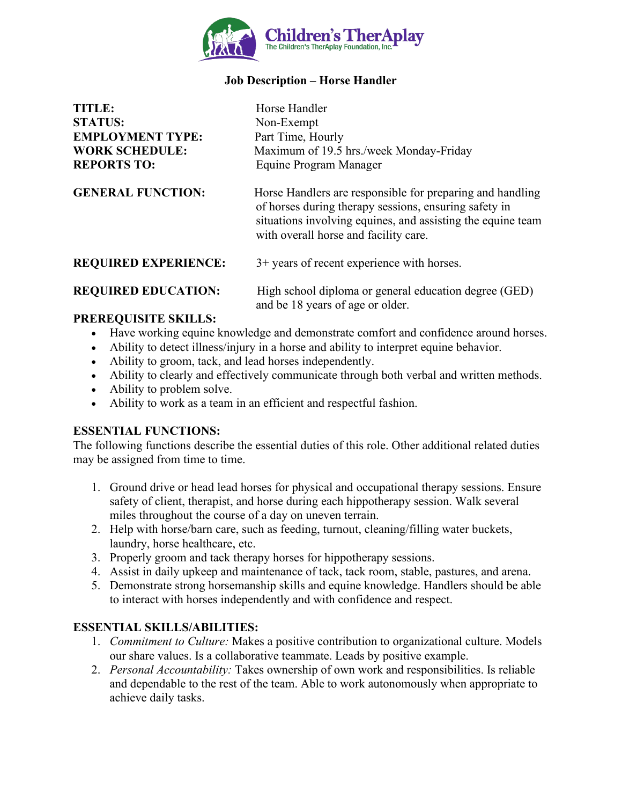

# **Job Description – Horse Handler**

| <b>TITLE:</b><br><b>STATUS:</b><br><b>EMPLOYMENT TYPE:</b><br><b>WORK SCHEDULE:</b><br><b>REPORTS TO:</b> | Horse Handler<br>Non-Exempt<br>Part Time, Hourly<br>Maximum of 19.5 hrs./week Monday-Friday<br>Equine Program Manager                                                                                                      |
|-----------------------------------------------------------------------------------------------------------|----------------------------------------------------------------------------------------------------------------------------------------------------------------------------------------------------------------------------|
| <b>GENERAL FUNCTION:</b>                                                                                  | Horse Handlers are responsible for preparing and handling<br>of horses during therapy sessions, ensuring safety in<br>situations involving equines, and assisting the equine team<br>with overall horse and facility care. |
| <b>REQUIRED EXPERIENCE:</b>                                                                               | 3+ years of recent experience with horses.                                                                                                                                                                                 |
| <b>REQUIRED EDUCATION:</b>                                                                                | High school diploma or general education degree (GED)                                                                                                                                                                      |

### **PREREQUISITE SKILLS:**

• Have working equine knowledge and demonstrate comfort and confidence around horses.

and be 18 years of age or older.

- Ability to detect illness/injury in a horse and ability to interpret equine behavior.
- Ability to groom, tack, and lead horses independently.
- Ability to clearly and effectively communicate through both verbal and written methods.
- Ability to problem solve.
- Ability to work as a team in an efficient and respectful fashion.

#### **ESSENTIAL FUNCTIONS:**

The following functions describe the essential duties of this role. Other additional related duties may be assigned from time to time.

- 1. Ground drive or head lead horses for physical and occupational therapy sessions. Ensure safety of client, therapist, and horse during each hippotherapy session. Walk several miles throughout the course of a day on uneven terrain.
- 2. Help with horse/barn care, such as feeding, turnout, cleaning/filling water buckets, laundry, horse healthcare, etc.
- 3. Properly groom and tack therapy horses for hippotherapy sessions.
- 4. Assist in daily upkeep and maintenance of tack, tack room, stable, pastures, and arena.
- 5. Demonstrate strong horsemanship skills and equine knowledge. Handlers should be able to interact with horses independently and with confidence and respect.

# **ESSENTIAL SKILLS/ABILITIES:**

- 1. *Commitment to Culture:* Makes a positive contribution to organizational culture. Models our share values. Is a collaborative teammate. Leads by positive example.
- 2. *Personal Accountability:* Takes ownership of own work and responsibilities. Is reliable and dependable to the rest of the team. Able to work autonomously when appropriate to achieve daily tasks.